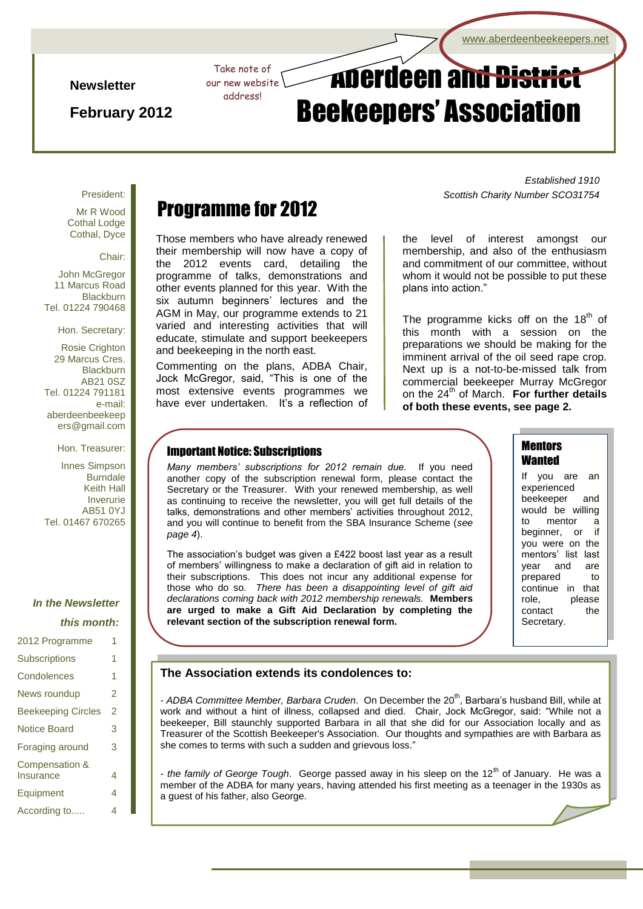#### **Newsletter**

**February 2012**

# Take note of **Aberdeen and District** Beekeepers' Association

President:

Mr R Wood Cothal Lodge Cothal, Dyce

Chair:

John McGregor 11 Marcus Road **Blackburn** Tel. 01224 790468

Hon. Secretary:

Rosie Crighton 29 Marcus Cres. **Blackburn** AB21 0SZ Tel. 01224 791181 e-mail: aberdeenbeekeep ers@gmail.com

Hon. Treasurer:

Innes Simpson **Burndale** Keith Hall Inverurie AB51 0YJ Tel. 01467 670265

## *In the Newsletter this month:*

| 2012 Programme              | 1 |
|-----------------------------|---|
| Subscriptions               | 1 |
| Condolences                 | 1 |
| News roundup                | 2 |
| <b>Beekeeping Circles</b>   | 2 |
| <b>Notice Board</b>         | 3 |
| Foraging around             | 3 |
| Compensation &<br>Insurance | 4 |
| Equipment                   | 4 |
| According to                | 4 |

# Programme for 2012

Page 1 of 4 ADBA Newsletter 1 of 4 ADBA Newsletter 1 of 4 ADBA Newsletter 1

our new website address!

Those members who have already renewed their membership will now have a copy of the 2012 events card, detailing the programme of talks, demonstrations and other events planned for this year. With the six autumn beginners' lectures and the AGM in May, our programme extends to 21 varied and interesting activities that will educate, stimulate and support beekeepers and beekeeping in the north east.

Commenting on the plans, ADBA Chair, Jock McGregor, said, "This is one of the most extensive events programmes we have ever undertaken. It's a reflection of

*Established 1910 Scottish Charity Number SCO31754*

the level of interest amongst our membership, and also of the enthusiasm and commitment of our committee, without whom it would not be possible to put these plans into action."

The programme kicks off on the 18<sup>th</sup> of this month with a session on the preparations we should be making for the imminent arrival of the oil seed rape crop. Next up is a not-to-be-missed talk from commercial beekeeper Murray McGregor on the 24th of March. **For further details of both these events, see page 2.**

#### Important Notice: Subscriptions

*Many members' subscriptions for 2012 remain due.* If you need another copy of the subscription renewal form, please contact the Secretary or the Treasurer. With your renewed membership, as well as continuing to receive the newsletter, you will get full details of the talks, demonstrations and other members' activities throughout 2012, and you will continue to benefit from the SBA Insurance Scheme (*see page 4*).

The association's budget was given a £422 boost last year as a result of members' willingness to make a declaration of gift aid in relation to their subscriptions. This does not incur any additional expense for those who do so. *There has been a disappointing level of gift aid declarations coming back with 2012 membership renewals.* **Members are urged to make a Gift Aid Declaration by completing the relevant section of the subscription renewal form.**

# **Mentors Wanted**

If you are an experienced beekeeper and would be willing to mentor a beginner, or if you were on the mentors' list last year and are prepared to continue in that role, please contact the Secretary.

#### **The Association extends its condolences to:**

- ADBA Committee Member, Barbara Cruden. On December the 20<sup>th</sup>, Barbara's husband Bill, while at work and without a hint of illness, collapsed and died. Chair, Jock McGregor, said: "While not a beekeeper, Bill staunchly supported Barbara in all that she did for our Association locally and as Treasurer of the Scottish Beekeeper's Association. Our thoughts and sympathies are with Barbara as she comes to terms with such a sudden and grievous loss."

member of the ADBA for many years, having attended his first meeting as a teenager in the 1930s as - *the family of George Tough*. George passed away in his sleep on the 12<sup>th</sup> of January. He was a a guest of his father, also George.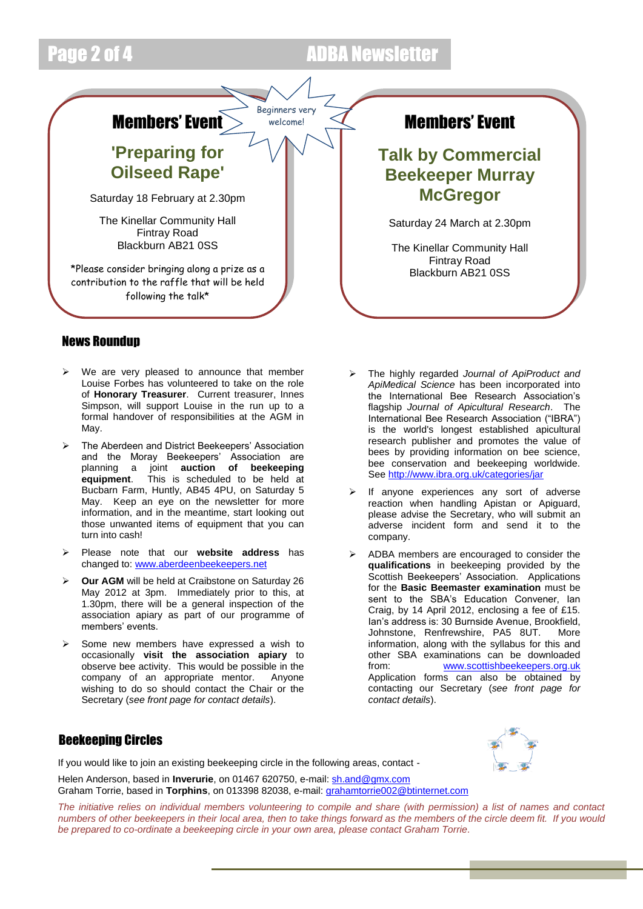# Page 2 of 4 ADBA Newsletter



## News Roundup

- $\triangleright$  We are very pleased to announce that member Louise Forbes has volunteered to take on the role of **Honorary Treasurer**. Current treasurer, Innes Simpson, will support Louise in the run up to a formal handover of responsibilities at the AGM in May.
- The Aberdeen and District Beekeepers' Association and the Moray Beekeepers' Association are planning a joint **auction of beekeeping equipment**. This is scheduled to be held at Bucbarn Farm, Huntly, AB45 4PU, on Saturday 5 May. Keep an eye on the newsletter for more information, and in the meantime, start looking out those unwanted items of equipment that you can turn into cash!
- Please note that our **website address** has changed to: [www.aberdeenbeekeepers.net](http://www.aberdeenbeekeepers.net/)
- **Our AGM** will be held at Craibstone on Saturday 26 May 2012 at 3pm. Immediately prior to this, at 1.30pm, there will be a general inspection of the association apiary as part of our programme of members' events.
- Some new members have expressed a wish to occasionally **visit the association apiary** to observe bee activity. This would be possible in the company of an appropriate mentor. Anyone wishing to do so should contact the Chair or the Secretary (*see front page for contact details*).
- The highly regarded *Journal of ApiProduct and ApiMedical Science* has been incorporated into the International Bee Research Association's flagship *Journal of Apicultural Research*. The International Bee Research Association ("IBRA") is the world's longest established apicultural research publisher and promotes the value of bees by providing information on bee science, bee conservation and beekeeping worldwide. Se[e http://www.ibra.org.uk/categories/jar](http://www.ibra.org.uk/categories/jar)
- If anyone experiences any sort of adverse reaction when handling Apistan or Apiguard, please advise the Secretary, who will submit an adverse incident form and send it to the company.
- ADBA members are encouraged to consider the **qualifications** in beekeeping provided by the Scottish Beekeepers' Association. Applications for the **Basic Beemaster examination** must be sent to the SBA's Education Convener, Ian Craig, by 14 April 2012, enclosing a fee of £15. Ian's address is: 30 Burnside Avenue, Brookfield, Johnstone, Renfrewshire, PA5 8UT. More information, along with the syllabus for this and other SBA examinations can be downloaded from: [www.scottishbeekeepers.org.uk](http://www.scottishbeekeepers.org.uk/)  Application forms can also be obtained by contacting our Secretary (*see front page for contact details*).

# Beekeeping Circles

If you would like to join an existing beekeeping circle in the following areas, contact -

Helen Anderson, based in **Inverurie**, on 01467 620750, e-mail: [sh.and@gmx.com](mailto:sh.and@gmx.com) Graham Torrie, based in **Torphins**, on 013398 82038, e-mail[: grahamtorrie002@btinternet.com](mailto:grahamtorrie002@btinternet.com)

*The initiative relies on individual members volunteering to compile and share (with permission) a list of names and contact numbers of other beekeepers in their local area, then to take things forward as the members of the circle deem fit. If you would be prepared to co-ordinate a beekeeping circle in your own area, please contact Graham Torrie.*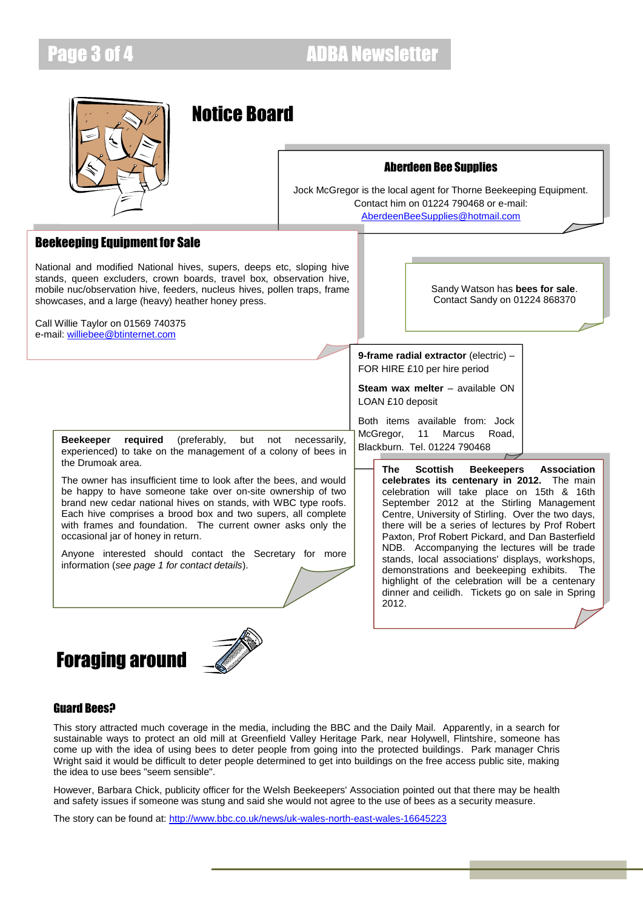

# Notice Board



Jock McGregor is the local agent for Thorne Beekeeping Equipment. Contact him on 01224 790468 or e-mail: [AberdeenBeeSupplies@hotmail.com](mailto:AberdeenBeeSupplies@hotmail.com)

## Beekeeping Equipment for Sale

National and modified National hives, supers, deeps etc, sloping hive stands, queen excluders, crown boards, travel box, observation hive, mobile nuc/observation hive, feeders, nucleus hives, pollen traps, frame showcases, and a large (heavy) heather honey press.

Call Willie Taylor on 01569 740375 e-mail: [williebee@btinternet.com](mailto:williebee@btinternet.com)

Sandy Watson has **bees for sale**. Contact Sandy on 01224 868370

**9-frame radial extractor** (electric) – FOR HIRE £10 per hire period

**Steam wax melter** – available ON LOAN £10 deposit

Both items available from: Jock McGregor, 11 Marcus Road,

**Beekeeper required** (preferably, but not necessarily, medicing in malcus in experienced) to take on the management of a colony of bees in **Blackburn.** Tel. 01224 790468 the Drumoak area.

The owner has insufficient time to look after the bees, and would be happy to have someone take over on-site ownership of two brand new cedar national hives on stands, with WBC type roofs. Each hive comprises a brood box and two supers, all complete with frames and foundation. The current owner asks only the occasional jar of honey in return.

Anyone interested should contact the Secretary for more information (*see page 1 for contact details*).





**celebrates its centenary in 2012.** The main celebration will take place on 15th & 16th September 2012 at the Stirling Management Centre, University of Stirling. Over the two days, there will be a series of lectures by Prof Robert Paxton, Prof Robert Pickard, and Dan Basterfield NDB. Accompanying the lectures will be trade stands, local associations' displays, workshops, demonstrations and beekeeping exhibits. The highlight of the celebration will be a centenary dinner and ceilidh. Tickets go on sale in Spring 2012.

**The Scottish Beekeepers Association** 

## Guard Bees?

This story attracted much coverage in the media, including the BBC and the Daily Mail. Apparently, in a search for sustainable ways to protect an old mill at Greenfield Valley Heritage Park, near Holywell, Flintshire, someone has come up with the idea of using bees to deter people from going into the protected buildings. Park manager Chris Wright said it would be difficult to deter people determined to get into buildings on the free access public site, making the idea to use bees "seem sensible".

However, Barbara Chick, publicity officer for the Welsh Beekeepers' Association pointed out that there may be health and safety issues if someone was stung and said she would not agree to the use of bees as a security measure.

The story can be found at[: http://www.bbc.co.uk/news/uk-wales-north-east-wales-16645223](http://www.bbc.co.uk/news/uk-wales-north-east-wales-16645223)